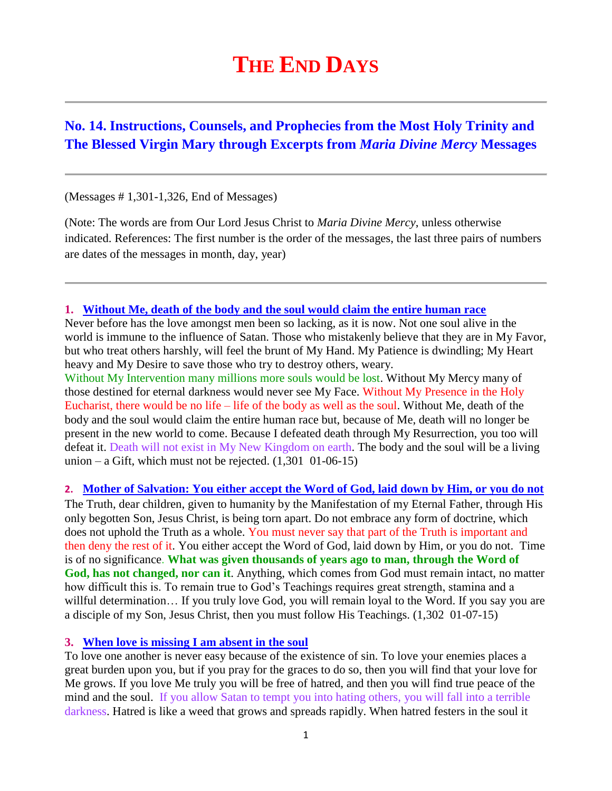# **THE END DAYS**

# **No. 14. Instructions, Counsels, and Prophecies from the Most Holy Trinity and The Blessed Virgin Mary through Excerpts from** *Maria Divine Mercy* **Messages**

(Messages # 1,301-1,326, End of Messages)

(Note: The words are from Our Lord Jesus Christ to *Maria Divine Mercy*, unless otherwise indicated. References: The first number is the order of the messages, the last three pairs of numbers are dates of the messages in month, day, year)

**1. [Without Me, death of the body and the soul would claim the entire human race](http://www.thewarningsecondcoming.com/without-me-death-of-the-body-and-the-soul-would-claim-the-entire-human-race/)**

Never before has the love amongst men been so lacking, as it is now. Not one soul alive in the world is immune to the influence of Satan. Those who mistakenly believe that they are in My Favor, but who treat others harshly, will feel the brunt of My Hand. My Patience is dwindling; My Heart heavy and My Desire to save those who try to destroy others, weary.

Without My Intervention many millions more souls would be lost. Without My Mercy many of those destined for eternal darkness would never see My Face. Without My Presence in the Holy Eucharist, there would be no life – life of the body as well as the soul. Without Me, death of the body and the soul would claim the entire human race but, because of Me, death will no longer be present in the new world to come. Because I defeated death through My Resurrection, you too will defeat it. Death will not exist in My New Kingdom on earth. The body and the soul will be a living union – a Gift, which must not be rejected.  $(1,301 \ 01-06-15)$ 

**2. Mother [of Salvation: You either accept the Word of God, laid down by Him, or you do not](http://www.thewarningsecondcoming.com/mother-of-salvation-you-either-accept-the-word-of-god-laid-down-by-him-or-you-do-not/)**

The Truth, dear children, given to humanity by the Manifestation of my Eternal Father, through His only begotten Son, Jesus Christ, is being torn apart. Do not embrace any form of doctrine, which does not uphold the Truth as a whole. You must never say that part of the Truth is important and then deny the rest of it. You either accept the Word of God, laid down by Him, or you do not. Time is of no significance. **What was given thousands of years ago to man, through the Word of God, has not changed, nor can it**. Anything, which comes from God must remain intact, no matter how difficult this is. To remain true to God's Teachings requires great strength, stamina and a willful determination… If you truly love God, you will remain loyal to the Word. If you say you are a disciple of my Son, Jesus Christ, then you must follow His Teachings. (1,302 01-07-15)

# **3. [When love is missing I am absent in the soul](http://www.thewarningsecondcoming.com/when-love-is-missing-i-am-absent-in-the-soul/)**

To love one another is never easy because of the existence of sin. To love your enemies places a great burden upon you, but if you pray for the graces to do so, then you will find that your love for Me grows. If you love Me truly you will be free of hatred, and then you will find true peace of the mind and the soul. If you allow Satan to tempt you into hating others, you will fall into a terrible darkness. Hatred is like a weed that grows and spreads rapidly. When hatred festers in the soul it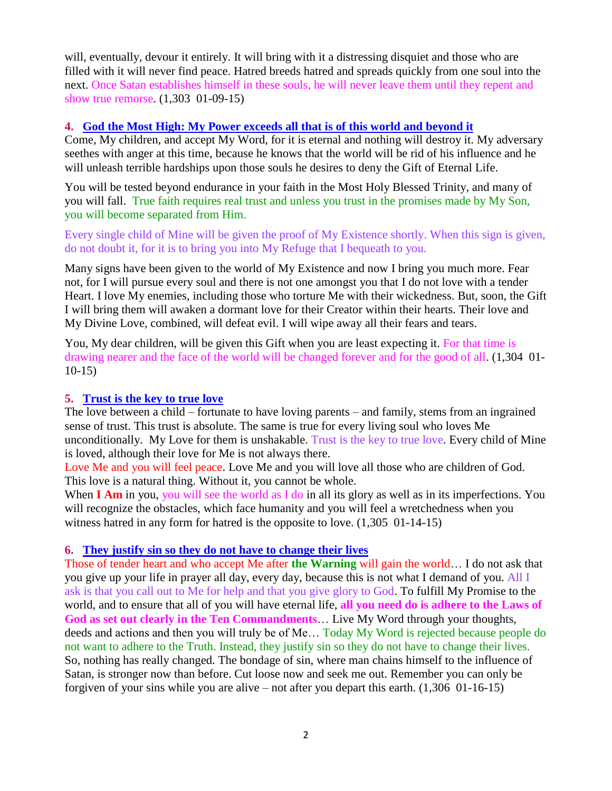will, eventually, devour it entirely. It will bring with it a distressing disquiet and those who are filled with it will never find peace. Hatred breeds hatred and spreads quickly from one soul into the next. Once Satan establishes himself in these souls, he will never leave them until they repent and show true remorse. (1,303 01-09-15)

# **4. [God the Most High: My Power exceeds all that is of this world and beyond it](http://www.thewarningsecondcoming.com/god-the-most-high-my-power-exceeds-all-that-is-of-this-world-and-beyond-it/)**

Come, My children, and accept My Word, for it is eternal and nothing will destroy it. My adversary seethes with anger at this time, because he knows that the world will be rid of his influence and he will unleash terrible hardships upon those souls he desires to deny the Gift of Eternal Life.

You will be tested beyond endurance in your faith in the Most Holy Blessed Trinity, and many of you will fall. True faith requires real trust and unless you trust in the promises made by My Son, you will become separated from Him.

Every single child of Mine will be given the proof of My Existence shortly. When this sign is given, do not doubt it, for it is to bring you into My Refuge that I bequeath to you.

Many signs have been given to the world of My Existence and now I bring you much more. Fear not, for I will pursue every soul and there is not one amongst you that I do not love with a tender Heart. I love My enemies, including those who torture Me with their wickedness. But, soon, the Gift I will bring them will awaken a dormant love for their Creator within their hearts. Their love and My Divine Love, combined, will defeat evil. I will wipe away all their fears and tears.

You, My dear children, will be given this Gift when you are least expecting it. For that time is drawing nearer and the face of the world will be changed forever and for the good of all. (1,304 01- 10-15)

#### **5. [Trust is the key to true love](http://www.thewarningsecondcoming.com/trust-is-the-key-to-true-love/)**

The love between a child – fortunate to have loving parents – and family, stems from an ingrained sense of trust. This trust is absolute. The same is true for every [living soul](http://www.thewarningsecondcoming.com/trust-is-the-key-to-true-love/) who loves Me unconditionally. My Love for them is unshakable. Trust is the key to true love. Every child of Mine is loved, although their love for Me is not always there.

Love Me and you will feel peace. Love Me and you will love all those who are children of God. This love is a natural thing. Without it, you cannot be whole.

When **I Am** in you, you will see the world as I do in all its glory as well as in its imperfections. You will recognize the obstacles, which face humanity and you will feel a wretchedness when you witness hatred in any form for hatred is the opposite to love.  $(1,305 \ 01-14-15)$ 

#### **6. [They justify sin so they do not have to change their lives](http://www.thewarningsecondcoming.com/they-justify-sin-so-they-do-not-have-to-change-their-lives/)**

Those of tender heart and who accept Me after **the Warning** will gain the world… I do not ask that you give up your life in prayer all day, every day, because this is not what I [demand](http://www.thewarningsecondcoming.com/they-justify-sin-so-they-do-not-have-to-change-their-lives/) of you. All I ask is that you call out to Me for help and that you give glory to God. To fulfill My Promise to the world, and to ensure that all of you will have eternal life, **all you need do is adhere to the Laws of God as set out clearly in [the Ten Commandments](http://www.thewarningsecondcoming.com/they-justify-sin-so-they-do-not-have-to-change-their-lives/)**… Live My Word through your thoughts, [deeds](http://www.thewarningsecondcoming.com/they-justify-sin-so-they-do-not-have-to-change-their-lives/) and actions and then you will truly be of Me… Today My Word is rejected because people do not want to adhere to the Truth. Instead, they justify sin so they do not have to change their lives. So, nothing has really changed. The bondage of sin, where man chains himself to the influence of Satan, is stronger now than before. Cut loose now and seek me out. Remember you can only be forgiven of your sins while you are alive – not after you depart this earth. (1,306 01-16-15)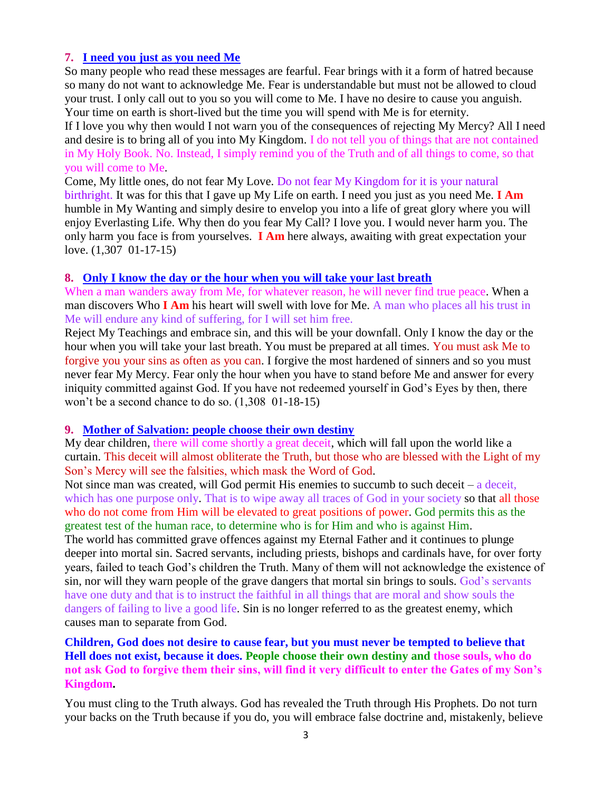# **7. [I need you just as you need Me](http://www.thewarningsecondcoming.com/i-need-you-just-as-you-need-me/)**

So many people who read these messages are fearful. Fear brings with it a form of hatred because so many do not want to acknowledge Me. Fear is [understandable](http://www.thewarningsecondcoming.com/i-need-you-just-as-you-need-me/) but must not be allowed to cloud your trust. I only call out to you so you will come to Me. I have no desire to cause you anguish. Your time on earth is short-lived but the time you will spend with Me is for eternity.

If I love you why then would I not warn you of the consequences of rejecting My Mercy? All I need and desire is to bring all of you into My Kingdom. I do not tell you of things that are not contained in My Holy [Book.](http://www.thewarningsecondcoming.com/i-need-you-just-as-you-need-me/) No. Instead, I simply remind you of the Truth and of all things to come, so that you will come to Me.

Come, My little ones, do not fear My Love. Do not fear My Kingdom for it is your natural birthright. It was for this that I gave up My Life on earth. I need you just as you need Me. **I Am**  humble in My Wanting and simply desire to envelop you into a life of great glory where you will enjoy [Everlasting Life.](http://www.thewarningsecondcoming.com/i-need-you-just-as-you-need-me/) Why then do you fear My Call? I love you. I would never harm you. The only harm you face is from yourselves. **I Am** here always, awaiting with [great expectation](http://www.thewarningsecondcoming.com/i-need-you-just-as-you-need-me/) your love. (1,307 01-17-15)

#### **8. [Only I know the day or the hour when you will take your last breath](http://www.thewarningsecondcoming.com/only-i-know-the-day-or-the-hour-when-you-will-take-your-last-breath-2/)**

When a man wanders away from Me, for whatever reason, he will never find true peace. When a man discovers Who **I Am** his heart will swell with love for Me. A man who places all his trust in Me will endure any kind of suffering, for I will set him free.

Reject My Teachings and embrace sin, and this will be your downfall. Only I know the day or the hour when you will take your last breath. You must be prepared at all times. You must ask Me to forgive you your sins as often as you can. I forgive the most hardened of [sinners](http://www.thewarningsecondcoming.com/only-i-know-the-day-or-the-hour-when-you-will-take-your-last-breath-2/) and so you must never fear My Mercy. Fear only the hour when you have to stand before Me and answer for every [iniquity](http://www.thewarningsecondcoming.com/only-i-know-the-day-or-the-hour-when-you-will-take-your-last-breath-2/) committed against God. If you have not redeemed yourself in God's Eyes by then, there won't be a second chance to do so. (1,308 01-18-15)

#### **9. [Mother of Salvation: people choose their own destiny](http://www.thewarningsecondcoming.com/mother-of-salvation-people-choose-their-own-destiny/)**

My dear children, there will come shortly a great deceit, which will fall upon the world like a curtain. This deceit will almost obliterate the Truth, but those who are blessed with the Light of my Son's Mercy will see the falsities, which mask the [Word of God.](http://www.thewarningsecondcoming.com/mother-of-salvation-people-choose-their-own-destiny/)

Not since man was created, will God permit His enemies to succumb to such deceit – a deceit, which has one [purpose](http://www.thewarningsecondcoming.com/mother-of-salvation-people-choose-their-own-destiny/) only. That is to wipe away all traces of God in your society so that all those who do not come from Him will be elevated to great positions of power. God permits this as the greatest test of the human race, to determine who is for Him and who is against Him.

The world has committed grave offences against my Eternal Father and it continues to plunge deeper into mortal sin. Sacred [servants,](http://www.thewarningsecondcoming.com/mother-of-salvation-people-choose-their-own-destiny/) including priests, bishops and cardinals have, for over forty years, failed to teach God's children the Truth. Many of them will not acknowledge the existence of sin, nor will they warn people of the grave dangers that mortal sin brings to souls. God's servants have one duty and that is to instruct the faithful in all things that are moral and show souls the dangers of failing to live a good life. Sin is no longer referred to as the greatest enemy, which causes man to separate from God.

# **Children, God does not desire to cause fear, but you must never be tempted to believe that Hell does not exist, because it does. [People choose](http://www.thewarningsecondcoming.com/mother-of-salvation-people-choose-their-own-destiny/) their own destiny and those souls, who do not ask God to forgive them their sins, will find it very difficult to enter the Gates of my Son's Kingdom.**

You must cling to the Truth always. God has revealed the Truth through His Prophets. Do not turn your backs on the Truth because if you do, you will embrace false doctrine and, mistakenly, believe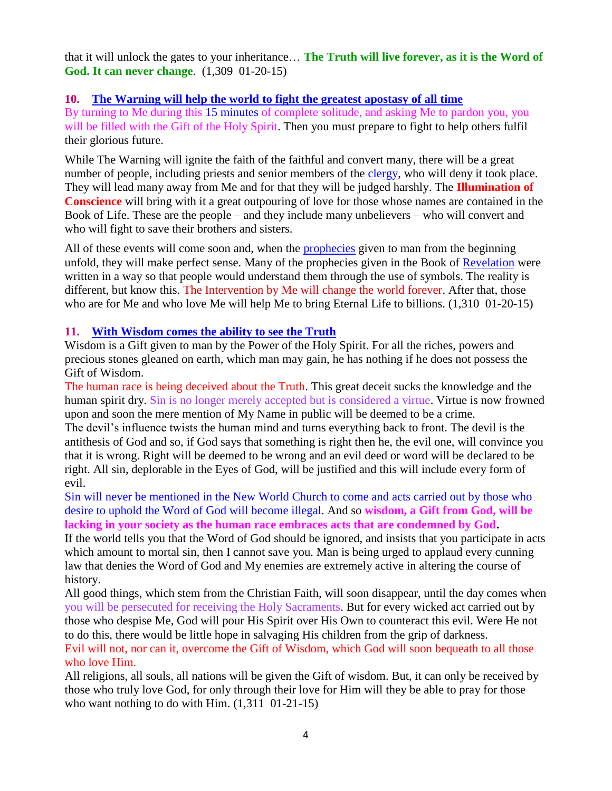that it will [unlock](http://www.thewarningsecondcoming.com/mother-of-salvation-people-choose-their-own-destiny/) the gates to your inheritance… **The Truth will live forever, as it is the Word of God. It can never change**. (1,309 01-20-15)

# **10. [The Warning will help the world to fight the greatest apostasy of all time](http://www.thewarningsecondcoming.com/the-warning-will-help-the-world-to-fight-the-greatest-apostasy-of-all-time/)**

By turning to Me during this 15 minutes of complete solitude, and asking Me to pardon you, you will be filled with the Gift of the Holy Spirit. Then you must prepare to fight to help others fulfil their glorious future.

While The Warning will ignite the faith of the faithful and convert many, there will be a great number of people, including priests and senior members of the [clergy,](http://www.enddays.net/the-warning-will-help-the-world-to-fight-the-greatest-apostasy-of-all-time/) who will deny it took place. They will lead many away from Me and for that they will be judged harshly. The **Illumination of Conscience** will bring with it a great outpouring of love for those whose names are contained in the Book of Life. These are the people – and they include many unbelievers – who will convert and who will fight to save their brothers and sisters.

All of these events will come soon and, when the [prophecies](http://www.enddays.net/the-warning-will-help-the-world-to-fight-the-greatest-apostasy-of-all-time/) given to man from the beginning unfold, they will make perfect sense. Many of the prophecies given in the Book of [Revelation](http://www.enddays.net/the-warning-will-help-the-world-to-fight-the-greatest-apostasy-of-all-time/) were written in a way so that people would understand them through the use of symbols. The reality is different, but know this. The Intervention by Me will change the world forever. After that, those who are for Me and who love Me will help Me to bring Eternal Life to billions. (1,310 01-20-15)

# **11. [With Wisdom comes the ability to see the Truth](http://www.thewarningsecondcoming.com/with-wisdom-comes-the-ability-to-see-the-truth/)**

Wisdom is a Gift given to man by the Power of the Holy Spirit. For all the riches, powers and precious stones gleaned on earth, which man may gain, he has nothing if he does not possess the Gift of Wisdom.

The human race is being deceived about the Truth. This great deceit sucks the knowledge and the human spirit dry. Sin is no longer merely accepted but is considered a virtue. Virtue is now frowned upon and soon the mere mention of My Name in public will be deemed to be a crime.

The devil's influence twists the human mind and turns everything back to front. The devil is the antithesis of God and so, if God says that something is right then he, the evil one, will convince you that it is wrong. Right will be deemed to be wrong and an evil deed or word will be declared to be right. All sin, deplorable in the Eyes of God, will be justified and this will include every form of evil.

Sin will never be mentioned in the New World Church to come and acts carried out by those who desire to uphold the Word of God will become illegal. And so **wisdom, a Gift from God, will be lacking in your society as the human race embraces acts that are condemned by God.**

If the world tells you that the Word of God should be ignored, and insists that you participate in acts which amount to mortal sin, then I cannot save you. Man is being urged to applaud every cunning law that denies the Word of God and My enemies are [extremely active](http://www.thewarningsecondcoming.com/with-wisdom-comes-the-ability-to-see-the-truth/) in altering the course of history.

All good things, which stem from the Christian Faith, will soon disappear, until the day comes when you will be [persecuted](http://www.thewarningsecondcoming.com/with-wisdom-comes-the-ability-to-see-the-truth/) for receiving the Holy [Sacraments.](http://www.thewarningsecondcoming.com/with-wisdom-comes-the-ability-to-see-the-truth/) But for every wicked act carried out by those who despise Me, God will pour His Spirit over His Own to counteract this evil. Were He not to do this, there would be little hope in salvaging His children from the grip of darkness. Evil will not, nor can it, overcome the Gift of Wisdom, which God will soon bequeath to all those

#### who love Him.

All religions, all souls, all nations will be given the Gift of wisdom. But, it can only be received by those who truly love God, for only through their love for Him will they be able to pray for those who want nothing to do with Him.  $(1,311 \ 01-21-15)$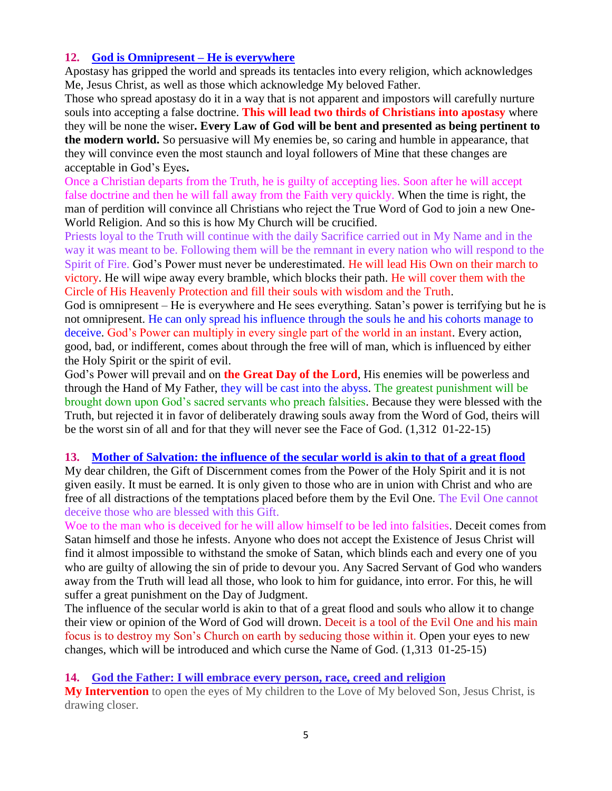# **12. [God is Omnipresent –](http://www.thewarningsecondcoming.com/god-is-omnipresent-he-is-everywhere/) He is everywhere**

Apostasy has gripped the world and spreads its tentacles into every religion, which acknowledges Me, Jesus Christ, as well as those which acknowledge My beloved Father.

Those who spread apostasy do it in a way that is not apparent and impostors will carefully nurture souls into accepting a false [doctrine.](http://www.thewarningsecondcoming.com/god-is-omnipresent-he-is-everywhere/) **This will lead two thirds of Christians into apostasy** where they will be none the wiser**. Every Law of God will be bent and presented as being pertinent to the modern world.** So persuasive will My enemies be, so caring and humble in appearance, that they will convince even the most staunch and loyal followers of Mine that these changes are acceptable in God's Eyes**.**

Once a Christian departs from the Truth, he is guilty of accepting lies. Soon after he will accept false doctrine and then he will fall away from the Faith very quickly. When the time is right, the man of perdition will convince all Christians who reject the True Word of God to join a new One-World Religion. And so this is how My Church will be crucified.

Priests loyal to the Truth will continue with the daily Sacrifice carried out in My Name and in the way it was meant to be. Following them will be the remnant in every nation who will respond to the Spirit of Fire. God's Power must never be underestimated. He will lead His Own on their march to victory. He will wipe away every bramble, which blocks their path. He will cover them with the Circle of His Heavenly Protection and fill their souls with wisdom and the Truth.

God is omnipresent – He is everywhere and He sees everything. Satan's power is terrifying but he is not omnipresent. He can only spread his influence through the souls he and his cohorts manage to deceive. God's Power can multiply in every single part of the world in an instant. Every action, good, bad, or indifferent, comes about through the free will of man, which is influenced by either the Holy Spirit or the spirit of evil.

God's Power will prevail and on **the Great Day of the Lord**, His enemies will be powerless and through the Hand of My Father, they will be cast into the [abyss.](http://www.thewarningsecondcoming.com/god-is-omnipresent-he-is-everywhere/) The greatest punishment will be brought down upon God's sacred servants who preach falsities. Because they were blessed with the Truth, but rejected it in favor of deliberately drawing souls away from the Word of God, theirs will be the worst sin of all and for that they will never see the Face of God. (1,312 01-22-15)

## **13. [Mother of Salvation: the influence of the secular world is akin to that of a great flood](http://www.thewarningsecondcoming.com/mother-of-salvation-the-influence-of-the-secular-world-is-akin-to-that-of-a-great-flood/)**

My dear children, the Gift of [Discernment](http://www.thewarningsecondcoming.com/mother-of-salvation-the-influence-of-the-secular-world-is-akin-to-that-of-a-great-flood/) comes from the Power of the Holy Spirit and it is not given easily. It must be earned. It is only given to those who are in union with Christ and who are free of all distractions of the temptations placed before them by the Evil One. The Evil One cannot deceive those who are blessed with this Gift.

Woe to the man who is deceived for he will allow himself to be led into falsities. Deceit comes from Satan himself and those he infests. Anyone who does not accept the Existence of [Jesus Christ](http://www.thewarningsecondcoming.com/mother-of-salvation-the-influence-of-the-secular-world-is-akin-to-that-of-a-great-flood/) will find it almost impossible to withstand the smoke of Satan, which [blinds](http://www.thewarningsecondcoming.com/mother-of-salvation-the-influence-of-the-secular-world-is-akin-to-that-of-a-great-flood/) each and every one of you who are guilty of allowing the sin of pride to devour you. Any Sacred Servant of God who wanders away from the Truth will lead all those, who look to him for guidance, into [error.](http://www.thewarningsecondcoming.com/mother-of-salvation-the-influence-of-the-secular-world-is-akin-to-that-of-a-great-flood/) For this, he will suffer a great punishment on the Day of Judgment.

The influence of the secular world is akin to that of a great flood and souls who allow it to change their view or opinion of the Word of God will drown. Deceit is a tool of the Evil One and his main focus is to destroy my Son's Church on earth by seducing those within it. Open your eyes to new changes, which will be introduced and which curse the Name of God. (1,313 01-25-15)

#### **14. [God the Father: I will embrace every person, race, creed and religion](http://www.thewarningsecondcoming.com/god-the-father-i-will-embrace-every-person-race-creed-and-religion/)**

**My Intervention** to open the eyes of My children to the Love of My beloved Son, Jesus Christ, is drawing closer.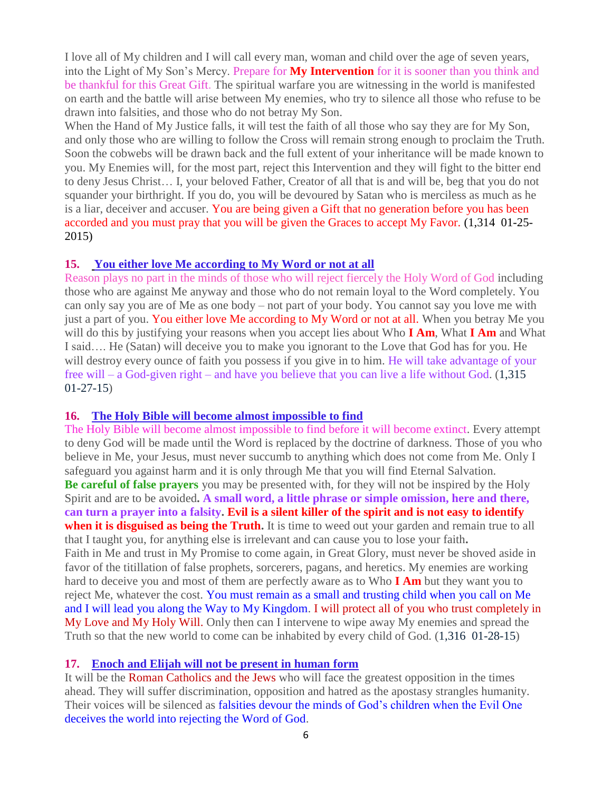I love all of My children and I will call every man, woman and child over the age of seven years, into the Light of My Son's Mercy. Prepare for **My Intervention** for it is sooner than you think and be thankful for this Great Gift. The spiritual warfare you are witnessing in the world is manifested on earth and the battle will arise between My enemies, who try to silence all those who refuse to be drawn into falsities, and those who do not betray My Son.

When the Hand of My Justice falls, it will test the faith of all those who say they are for My Son, and only those who are willing to follow the Cross will remain strong enough to proclaim the Truth. Soon the cobwebs will be drawn back and the full extent of your inheritance will be made known to you. My Enemies will, for the most part, reject this Intervention and they will fight to the bitter end to deny Jesus Christ… I, your beloved Father, Creator of all that is and will be, beg that you do not squander your birthright. If you do, you will be devoured by Satan who is merciless as much as he is a liar, deceiver and accuser. You are being given a Gift that no generation before you has been accorded and you must pray that you will be given the Graces to accept My Favor. (1,314 01-25- 2015)

#### **15. [You either love Me according to My Word or not at all](http://www.thewarningsecondcoming.com/you-either-love-me-according-to-my-word-or-not-at-all/)**

Reason plays no part in the minds of those who will reject fiercely the Holy Word of God including those who are against Me anyway and those who do not remain loyal to the Word completely. You can only say you are of Me as one body – not part of your body. You cannot say you love me with just a part of you. You either love Me according to My Word or not at all. When you betray Me you will do this by justifying your reasons when you accept lies about Who **I Am**, What **I Am** and What I said…. He (Satan) will deceive you to make you ignorant to the Love that God has for you. He will destroy every ounce of faith you possess if you give in to him. He will take advantage of your free will – a God-given right – and have you believe that you can live a life without God. (1,315 01-27-15)

#### **16. [The Holy Bible will become almost impossible to find](http://www.thewarningsecondcoming.com/the-holy-bible-will-become-almost-impossible-to-find/)**

The Holy Bible will become almost impossible to find before it will become extinct. Every attempt to deny God will be made until the Word is replaced by the doctrine of darkness. Those of you who believe in Me, your Jesus, must never succumb to anything which does not come from Me. Only I safeguard you against harm and it is only through Me that you will find Eternal Salvation. **Be careful of false prayers** you may be presented with, for they will not be inspired by the Holy Spirit and are to be avoided**. A small word, a little phrase or simple omission, here and there, can turn a prayer into a falsity. Evil is a silent killer of the spirit and is not easy to identify when it is disguised as being the Truth.** It is time to weed out your garden and remain true to all that I taught you, for anything else is irrelevant and can cause you to lose your faith**.** Faith in Me and trust in My Promise to come again, in Great Glory, must never be shoved aside in favor of the titillation of false prophets, sorcerers, pagans, and heretics. My enemies are working hard to deceive you and most of them are perfectly aware as to Who **I Am** but they want you to reject Me, whatever the cost. You must remain as a small and trusting child when you call on Me and I will lead you along the Way to My Kingdom. I will protect all of you who trust completely in My Love and My Holy Will. Only then can I intervene to wipe away My enemies and spread the Truth so that the new world to come can be inhabited by every child of God. (1,316 01-28-15)

#### **17. [Enoch and Elijah will not be present in human form](http://www.thewarningsecondcoming.com/enoch-and-elijah-will-not-be-present-in-human-form/)**

It will be the Roman Catholics and the Jews who will face the greatest opposition in the times ahead. They will suffer discrimination, opposition and hatred as the apostasy strangles humanity. Their voices will be silenced as falsities devour the minds of God's children when the Evil One deceives the world into rejecting the Word of God.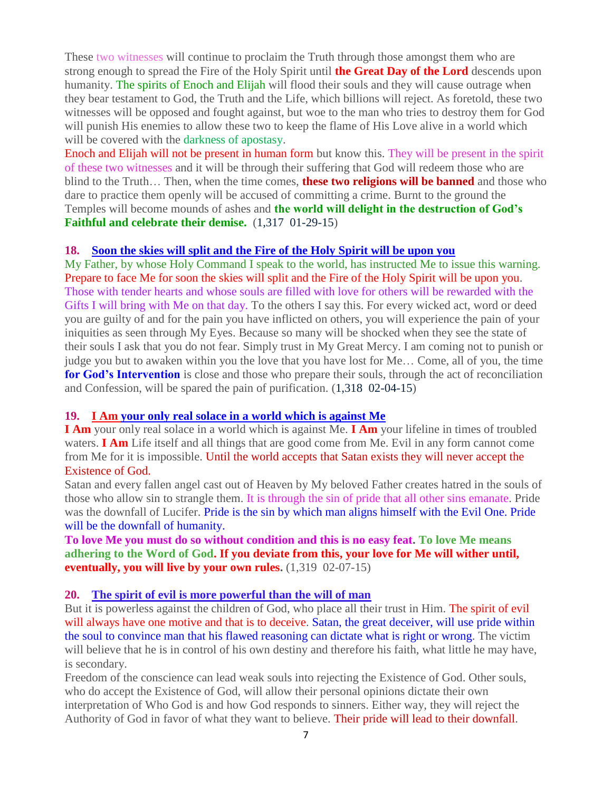These two witnesses will continue to proclaim the Truth through those amongst them who are strong enough to spread the Fire of the Holy Spirit until **the Great Day of the Lord** descends upon humanity. The spirits of Enoch and Elijah will flood their souls and they will cause outrage when they bear testament to God, the Truth and the Life, which billions will reject. As foretold, these two witnesses will be opposed and fought against, but woe to the man who tries to destroy them for God will punish His enemies to allow these two to keep the flame of His Love alive in a world which will be covered with the darkness of apostasy.

Enoch and Elijah will not be present in human form but know this. They will be present in the spirit of these two witnesses and it will be through their suffering that God will redeem those who are blind to the Truth… Then, when the time comes, **these two religions will be banned** and those who dare to practice them openly will be accused of committing a crime. Burnt to the ground the Temples will become mounds of ashes and **the world will delight in the destruction of God's Faithful and celebrate their demise.** (1,317 01-29-15)

#### **18. [Soon the skies will split and the Fire of the Holy Spirit will be upon you](http://www.thewarningsecondcoming.com/soon-the-skies-will-split-and-the-fire-of-the-holy-spirit-will-be-upon-you/)**

My Father, by whose Holy Command I speak to the world, has instructed Me to issue this warning. Prepare to face Me for soon the skies will split and the Fire of the Holy Spirit will be upon you. Those with tender hearts and whose souls are filled with love for others will be rewarded with the Gifts I will bring with Me on that day. To the others I say this. For every wicked act, word or deed you are guilty of and for the pain you have inflicted on others, you will experience the pain of your iniquities as seen through My Eyes. Because so many will be shocked when they see the state of their souls I ask that you do not fear. Simply trust in My Great Mercy. I am coming not to punish or judge you but to awaken within you the love that you have lost for Me… Come, all of you, the time **for God's Intervention** is close and those who prepare their souls, through the act of reconciliation and Confession, will be spared the pain of purification. (1,318 02-04-15)

#### **19. I Am your only real solace in a world which is against Me**

**I Am** your only real solace in a world which is against Me. **I Am** your lifeline in times of troubled waters. **I Am** Life itself and all things that are good come from Me. Evil in any form cannot come from Me for it is impossible. Until the world accepts that Satan exists they will never accept the Existence of God.

Satan and every fallen angel cast out of Heaven by My beloved Father creates hatred in the souls of those who allow sin to strangle them. It is through the sin of pride that all other sins emanate. Pride was the downfall of Lucifer. Pride is the sin by which man aligns himself with the Evil One. Pride will be the downfall of humanity.

# **To love Me you must do so without condition and this is no easy feat. To love Me means adhering to the Word of God. If you deviate from this, your love for Me will wither until, eventually, you will live by your own rules.** (1,319 02-07-15)

#### **20. [The spirit of evil is more powerful than the will of man](http://www.thewarningsecondcoming.com/the-spirit-of-evil-is-more-powerful-than-the-will-of-man/)**

But it is powerless against the children of God, who place all their trust in Him. The spirit of evil will always have one motive and that is to deceive. Satan, the great deceiver, will use pride within the soul to convince man that his flawed reasoning can dictate what is right or wrong. The victim will believe that he is in control of his own destiny and therefore his faith, what little he may have, is secondary.

Freedom of the conscience can lead weak souls into rejecting the Existence of God. Other souls, who do accept the Existence of God, will allow their personal opinions dictate their own interpretation of Who God is and how God responds to sinners. Either way, they will reject the Authority of God in favor of what they want to believe. Their pride will lead to their downfall.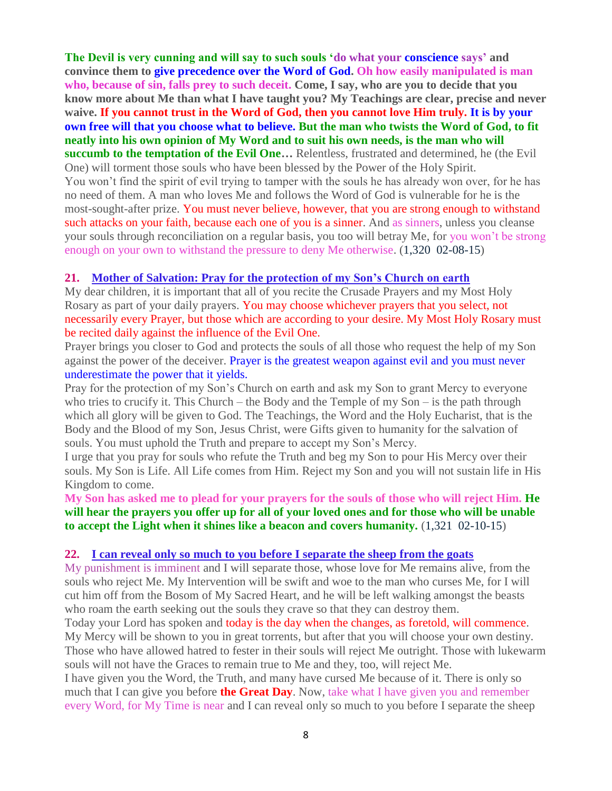**The Devil is very cunning and will say to such souls 'do what your conscience says' and convince them to give precedence over the Word of God. Oh how easily manipulated is man who, because of sin, falls prey to such deceit. Come, I say, who are you to decide that you know more about Me than what I have taught you? My Teachings are clear, precise and never waive. If you cannot trust in the Word of God, then you cannot love Him truly. It is by your own free will that you choose what to believe. But the man who twists the Word of God, to fit neatly into his own opinion of My Word and to suit his own needs, is the man who will succumb to the temptation of the Evil One…** Relentless, frustrated and determined, he (the Evil One) will torment those souls who have been blessed by the Power of the Holy Spirit. You won't find the spirit of evil trying to tamper with the souls he has already won over, for he has no need of them. A man who loves Me and follows the Word of God is vulnerable for he is the most-sought-after prize. You must never believe, however, that you are strong enough to withstand such attacks on your faith, because each one of you is a sinner. And as sinners, unless you cleanse your souls through reconciliation on a regular basis, you too will betray Me, for you won't be strong enough on your own to withstand the pressure to deny Me otherwise. (1,320 02-08-15)

# **21. [Mother of Salvation: Pray for the protection of my Son's Church on earth](http://www.thewarningsecondcoming.com/mother-of-salvation-pray-for-the-protection-of-my-sons-church-on-earth/)**

My dear children, it is important that all of you recite the Crusade Prayers and my Most Holy Rosary as part of your daily prayers. You may choose whichever prayers that you select, not necessarily every Prayer, but those which are according to your desire. My Most Holy Rosary must be recited daily against the influence of the Evil One.

Prayer brings you closer to God and protects the souls of all those who request the help of my Son against the power of the deceiver. Prayer is the greatest weapon against evil and you must never underestimate the power that it yields.

Pray for the protection of my Son's Church on earth and ask my Son to grant Mercy to everyone who tries to crucify it. This Church – the Body and the Temple of  $mv$  Son – is the path through which all glory will be given to God. The Teachings, the Word and the Holy Eucharist, that is the Body and the Blood of my Son, Jesus Christ, were Gifts given to humanity for the salvation of souls. You must uphold the Truth and prepare to accept my Son's Mercy.

I urge that you pray for souls who refute the Truth and beg my Son to pour His Mercy over their souls. My Son is Life. All Life comes from Him. Reject my Son and you will not sustain life in His Kingdom to come.

**My Son has asked me to plead for your prayers for the souls of those who will reject Him. He will hear the prayers you offer up for all of your loved ones and for those who will be unable to accept the Light when it shines like a beacon and covers humanity.** (1,321 02-10-15)

#### **22. [I can reveal only so much to you before I separate the sheep from the goats](http://www.thewarningsecondcoming.com/i-can-reveal-only-so-much-to-you-before-i-separate-the-sheep-from-the-goats/)**

My punishment is imminent and I will separate those, whose love for Me remains alive, from the souls who reject Me. My Intervention will be swift and woe to the man who curses Me, for I will cut him off from the Bosom of My Sacred Heart, and he will be left walking amongst the beasts who roam the earth seeking out the souls they crave so that they can destroy them.

Today your Lord has spoken and today is the day when the changes, as foretold, will commence. My Mercy will be shown to you in great torrents, but after that you will choose your own destiny. Those who have allowed hatred to fester in their souls will reject Me outright. Those with lukewarm souls will not have the Graces to remain true to Me and they, too, will reject Me.

I have given you the Word, the Truth, and many have cursed Me because of it. There is only so much that I can give you before **the Great Day**. Now, take what I have given you and remember every Word, for My Time is near and I can reveal only so much to you before I separate the sheep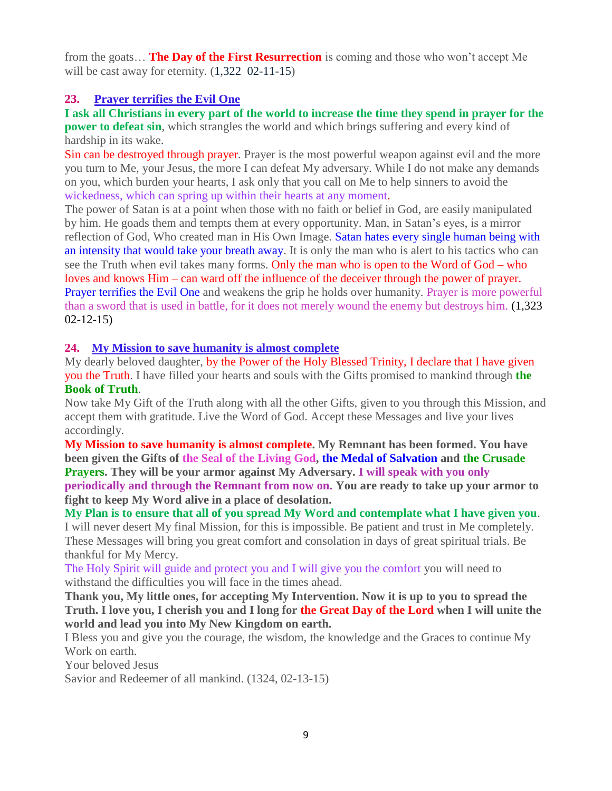from the goats… **The Day of the First Resurrection** is coming and those who won't accept Me will be cast away for eternity.  $(1,322 \ 02-11-15)$ 

# **23. [Prayer terrifies the Evil One](http://www.thewarningsecondcoming.com/prayer-terrifies-the-evil-one/)**

**I ask all Christians in every part of the world to increase the time they spend in prayer for the power to defeat sin**, which strangles the world and which brings suffering and every kind of hardship in its wake.

Sin can be destroyed through prayer. Prayer is the most powerful weapon against evil and the more you turn to Me, your Jesus, the more I can defeat My adversary. While I do not make any demands on you, which burden your hearts, I ask only that you call on Me to help sinners to avoid the wickedness, which can spring up within their hearts at any moment.

The power of Satan is at a point when those with no faith or belief in God, are easily manipulated by him. He goads them and tempts them at every opportunity. Man, in Satan's eyes, is a mirror reflection of God, Who created man in His Own Image. Satan hates every single human being with an intensity that would take your breath away. It is only the man who is alert to his tactics who can see the Truth when evil takes many forms. Only the man who is open to the Word of God – who loves and knows Him – can ward off the influence of the deceiver through the power of prayer. Prayer terrifies the Evil One and weakens the grip he holds over humanity. Prayer is more powerful than a sword that is used in battle, for it does not merely wound the enemy but destroys him. (1,323 02-12-15)

# **24. [My Mission to save humanity is almost complete](http://www.thewarningsecondcoming.com/my-mission-to-save-humanity-is-almost-complete/)**

My dearly beloved daughter, by the Power of the Holy Blessed Trinity, I declare that I have given you the Truth. I have filled your hearts and souls with the Gifts promised to mankind through **the Book of Truth**.

Now take My Gift of the Truth along with all the other Gifts, given to you through this Mission, and accept them with gratitude. Live the Word of God. Accept these Messages and live your lives accordingly.

**My Mission to save humanity is almost complete. My Remnant has been formed. You have been given the Gifts of the Seal of the Living God, the Medal of Salvation and the Crusade Prayers. They will be your armor against My Adversary. I will speak with you only periodically and through the Remnant from now on. You are ready to take up your armor to fight to keep My Word alive in a place of desolation.**

**My Plan is to ensure that all of you spread My Word and contemplate what I have given you**.

I will never desert My final Mission, for this is impossible. Be patient and trust in Me completely. These Messages will bring you great comfort and consolation in days of great spiritual trials. Be thankful for My Mercy.

The Holy Spirit will guide and protect you and I will give you the comfort you will need to withstand the difficulties you will face in the times ahead.

**Thank you, My little ones, for accepting My Intervention. Now it is up to you to spread the Truth. I love you, I cherish you and I long for the Great Day of the Lord when I will unite the world and lead you into My New Kingdom on earth.**

I Bless you and give you the courage, the wisdom, the knowledge and the Graces to continue My Work on earth.

Your beloved Jesus

Savior and Redeemer of all mankind. (1324, 02-13-15)